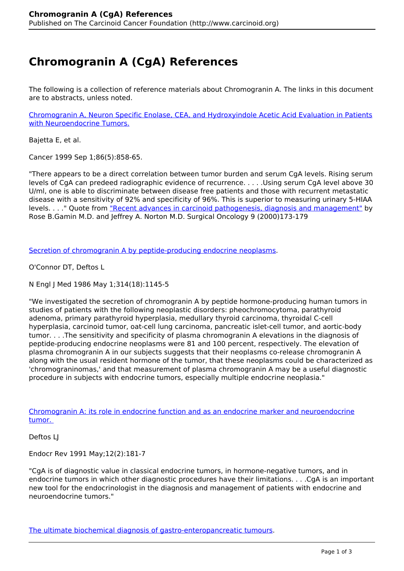## **Chromogranin A (CgA) References**

The following is a collection of reference materials about Chromogranin A. The links in this document are to abstracts, unless noted.

[Chromogranin A, Neuron Specific Enolase, CEA, and Hydroxyindole Acetic Acid Evaluation in Patients](http://onlinelibrary.wiley.com/doi/10.1002/%28SICI%291097-0142%2819990901%2986:5%3C858::AID-CNCR23%3E3.0.CO;2-8/abstract) [with Neuroendocrine Tumors.](http://onlinelibrary.wiley.com/doi/10.1002/%28SICI%291097-0142%2819990901%2986:5%3C858::AID-CNCR23%3E3.0.CO;2-8/abstract)

Bajetta E, et al.

Cancer 1999 Sep 1;86(5):858-65.

"There appears to be a direct correlation between tumor burden and serum CgA levels. Rising serum levels of CgA can predeed radiographic evidence of recurrence. . . . .Using serum CgA level above 30 U/ml, one is able to discriminate between disease free patients and those with recurrent metastatic disease with a sensitivity of 92% and specificity of 96%. This is superior to measuring urinary 5-HIAA levels. . . . " Quote from ["Recent advances in carcinoid pathogenesis, diagnosis and management"](http://www.ncbi.nlm.nih.gov/pubmed/11476988?dopt=Abstract) by Rose B.Gamin M.D. and Jeffrey A. Norton M.D. Surgical Oncology 9 (2000)173-179

[Secretion of chromogranin A by peptide-producing endocrine neoplasms.](http://www.ncbi.nlm.nih.gov/pubmed/3007986?dopt=Abstract)

O'Connor DT, Deftos L

N Engl J Med 1986 May 1;314(18):1145-5

"We investigated the secretion of chromogranin A by peptide hormone-producing human tumors in studies of patients with the following neoplastic disorders: pheochromocytoma, parathyroid adenoma, primary parathyroid hyperplasia, medullary thyroid carcinoma, thyroidal C-cell hyperplasia, carcinoid tumor, oat-cell lung carcinoma, pancreatic islet-cell tumor, and aortic-body tumor. . . .The sensitivity and specificity of plasma chromogranin A elevations in the diagnosis of peptide-producing endocrine neoplasms were 81 and 100 percent, respectively. The elevation of plasma chromogranin A in our subjects suggests that their neoplasms co-release chromogranin A along with the usual resident hormone of the tumor, that these neoplasms could be characterized as 'chromograninomas,' and that measurement of plasma chromogranin A may be a useful diagnostic procedure in subjects with endocrine tumors, especially multiple endocrine neoplasia."

[Chromogranin A: its role in endocrine function and as an endocrine marker and neuroendocrine](http://www.ncbi.nlm.nih.gov/pubmed/2070778?dopt=Abstract) [tumor.](http://www.ncbi.nlm.nih.gov/pubmed/2070778?dopt=Abstract) 

Deftos LJ

Endocr Rev 1991 May;12(2):181-7

"CgA is of diagnostic value in classical endocrine tumors, in hormone-negative tumors, and in endocrine tumors in which other diagnostic procedures have their limitations. . . .CgA is an important new tool for the endocrinologist in the diagnosis and management of patients with endocrine and neuroendocrine tumors."

[The ultimate biochemical diagnosis of gastro-enteropancreatic tumours.](http://www.ncbi.nlm.nih.gov/pubmed/8813468?dopt=Abstract)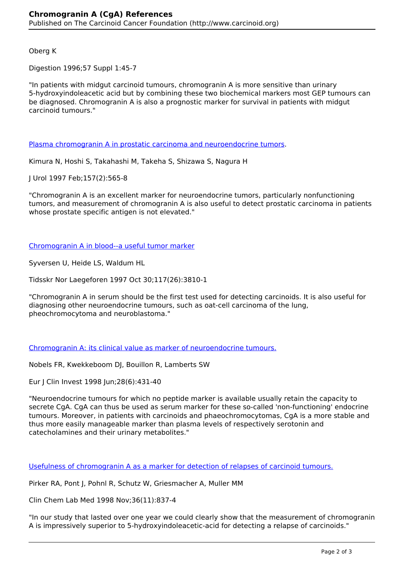Oberg K

Digestion 1996;57 Suppl 1:45-7

"In patients with midgut carcinoid tumours, chromogranin A is more sensitive than urinary 5-hydroxyindoleacetic acid but by combining these two biochemical markers most GEP tumours can be diagnosed. Chromogranin A is also a prognostic marker for survival in patients with midgut carcinoid tumours."

[Plasma chromogranin A in prostatic carcinoma and neuroendocrine tumors](http://www.ncbi.nlm.nih.gov/pubmed/8996358?dopt=Abstract).

Kimura N, Hoshi S, Takahashi M, Takeha S, Shizawa S, Nagura H

J Urol 1997 Feb;157(2):565-8

"Chromogranin A is an excellent marker for neuroendocrine tumors, particularly nonfunctioning tumors, and measurement of chromogranin A is also useful to detect prostatic carcinoma in patients whose prostate specific antigen is not elevated."

[Chromogranin A in blood--a useful tumor marker](http://www.ncbi.nlm.nih.gov/pubmed/9417686?dopt=Abstract)

Syversen U, Heide LS, Waldum HL

Tidsskr Nor Laegeforen 1997 Oct 30;117(26):3810-1

"Chromogranin A in serum should be the first test used for detecting carcinoids. It is also useful for diagnosing other neuroendocrine tumours, such as oat-cell carcinoma of the lung, pheochromocytoma and neuroblastoma."

[Chromogranin A: its clinical value as marker of neuroendocrine tumours.](http://www.ncbi.nlm.nih.gov/pubmed/9693933?dopt=Abstract)

Nobels FR, Kwekkeboom DJ, Bouillon R, Lamberts SW

Eur J Clin Invest 1998 Jun;28(6):431-40

"Neuroendocrine tumours for which no peptide marker is available usually retain the capacity to secrete CgA. CgA can thus be used as serum marker for these so-called 'non-functioning' endocrine tumours. Moreover, in patients with carcinoids and phaeochromocytomas, CgA is a more stable and thus more easily manageable marker than plasma levels of respectively serotonin and catecholamines and their urinary metabolites."

[Usefulness of chromogranin A as a marker for detection of relapses of carcinoid tumours.](http://www.ncbi.nlm.nih.gov/pubmed/9877088?dopt=Abstract)

Pirker RA, Pont J, Pohnl R, Schutz W, Griesmacher A, Muller MM

Clin Chem Lab Med 1998 Nov;36(11):837-4

"In our study that lasted over one year we could clearly show that the measurement of chromogranin A is impressively superior to 5-hydroxyindoleacetic-acid for detecting a relapse of carcinoids."